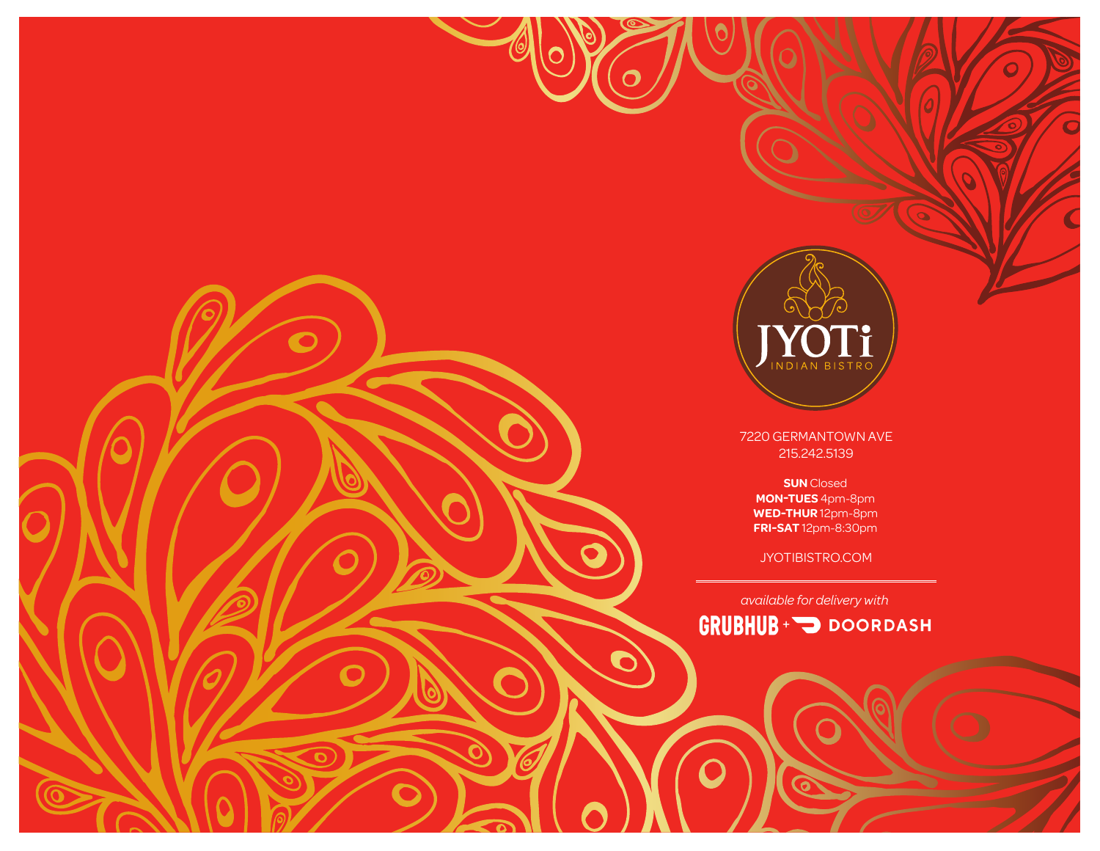